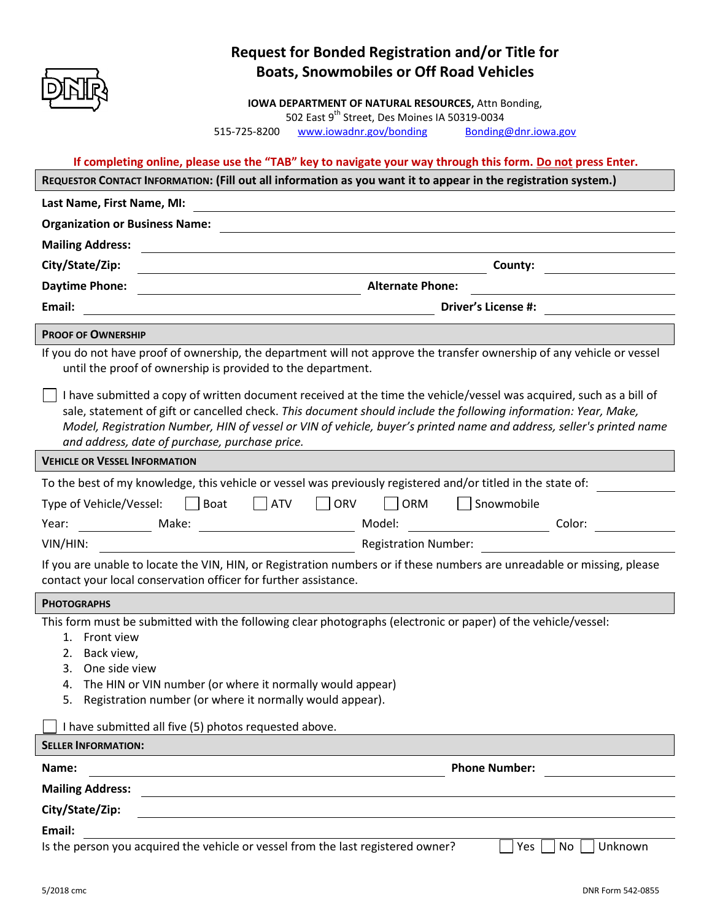

## **Request for Bonded Registration and/or Title for Boats, Snowmobiles or Off Road Vehicles**

**IOWA DEPARTMENT OF NATURAL RESOURCES,** Attn Bonding,

502 East 9<sup>th</sup> Street, Des Moines IA 50319-0034

515-725-8200 [www.iowadnr.gov/bonding](http://www.iowadnr.gov/bonding) [Bonding@dnr.iowa.gov](mailto:Bonding@dnr.iowa.gov)

**If completing online, please use the "TAB" key to navigate your way through this form. Do not press Enter.** 

| REQUESTOR CONTACT INFORMATION: (Fill out all information as you want it to appear in the registration system.)                                                                                                                                                                                                                                                                                                                                                                                                                            |                             |
|-------------------------------------------------------------------------------------------------------------------------------------------------------------------------------------------------------------------------------------------------------------------------------------------------------------------------------------------------------------------------------------------------------------------------------------------------------------------------------------------------------------------------------------------|-----------------------------|
| Last Name, First Name, MI:                                                                                                                                                                                                                                                                                                                                                                                                                                                                                                                |                             |
| <b>Organization or Business Name:</b>                                                                                                                                                                                                                                                                                                                                                                                                                                                                                                     |                             |
| <b>Mailing Address:</b>                                                                                                                                                                                                                                                                                                                                                                                                                                                                                                                   |                             |
| City/State/Zip:                                                                                                                                                                                                                                                                                                                                                                                                                                                                                                                           | County:                     |
| <b>Daytime Phone:</b><br><b>Alternate Phone:</b>                                                                                                                                                                                                                                                                                                                                                                                                                                                                                          |                             |
| Email:                                                                                                                                                                                                                                                                                                                                                                                                                                                                                                                                    | <b>Driver's License #:</b>  |
| <b>PROOF OF OWNERSHIP</b>                                                                                                                                                                                                                                                                                                                                                                                                                                                                                                                 |                             |
| If you do not have proof of ownership, the department will not approve the transfer ownership of any vehicle or vessel<br>until the proof of ownership is provided to the department.                                                                                                                                                                                                                                                                                                                                                     |                             |
| I have submitted a copy of written document received at the time the vehicle/vessel was acquired, such as a bill of<br>sale, statement of gift or cancelled check. This document should include the following information: Year, Make,<br>Model, Registration Number, HIN of vessel or VIN of vehicle, buyer's printed name and address, seller's printed name<br>and address, date of purchase, purchase price.<br><u>a sa barang sa mga sangang nagarang nagarang nagarang nagarang nagarang nagarang nagarang nagarang nagarang na</u> |                             |
| <b>VEHICLE OR VESSEL INFORMATION</b>                                                                                                                                                                                                                                                                                                                                                                                                                                                                                                      |                             |
| To the best of my knowledge, this vehicle or vessel was previously registered and/or titled in the state of:                                                                                                                                                                                                                                                                                                                                                                                                                              |                             |
| Boat<br>$\overline{\phantom{a}}$ ATV<br>ORV<br>Type of Vehicle/Vessel:                                                                                                                                                                                                                                                                                                                                                                                                                                                                    | $\vert$ ORM<br>Snowmobile   |
| Year:                                                                                                                                                                                                                                                                                                                                                                                                                                                                                                                                     | Color:                      |
| VIN/HIN:                                                                                                                                                                                                                                                                                                                                                                                                                                                                                                                                  | <b>Registration Number:</b> |
| If you are unable to locate the VIN, HIN, or Registration numbers or if these numbers are unreadable or missing, please<br>contact your local conservation officer for further assistance.                                                                                                                                                                                                                                                                                                                                                |                             |
| <b>PHOTOGRAPHS</b>                                                                                                                                                                                                                                                                                                                                                                                                                                                                                                                        |                             |
| This form must be submitted with the following clear photographs (electronic or paper) of the vehicle/vessel:<br>1. Front view<br>Back view,<br>2.<br>3. One side view<br>4. The HIN or VIN number (or where it normally would appear)<br>5. Registration number (or where it normally would appear).                                                                                                                                                                                                                                     |                             |
| I have submitted all five (5) photos requested above.                                                                                                                                                                                                                                                                                                                                                                                                                                                                                     |                             |
| <b>SELLER INFORMATION:</b>                                                                                                                                                                                                                                                                                                                                                                                                                                                                                                                |                             |
| Name:                                                                                                                                                                                                                                                                                                                                                                                                                                                                                                                                     | <b>Phone Number:</b>        |
| <b>Mailing Address:</b>                                                                                                                                                                                                                                                                                                                                                                                                                                                                                                                   |                             |
| City/State/Zip:<br><u> 1980 - Johann Barn, mars ann an t-Amhain Aonaich an t-Aonaich an t-Aonaich ann an t-Aonaich ann an t-Aonaich</u>                                                                                                                                                                                                                                                                                                                                                                                                   |                             |
| Email:                                                                                                                                                                                                                                                                                                                                                                                                                                                                                                                                    |                             |
| Is the person you acquired the vehicle or vessel from the last registered owner?                                                                                                                                                                                                                                                                                                                                                                                                                                                          | Unknown<br>Yes<br>No        |